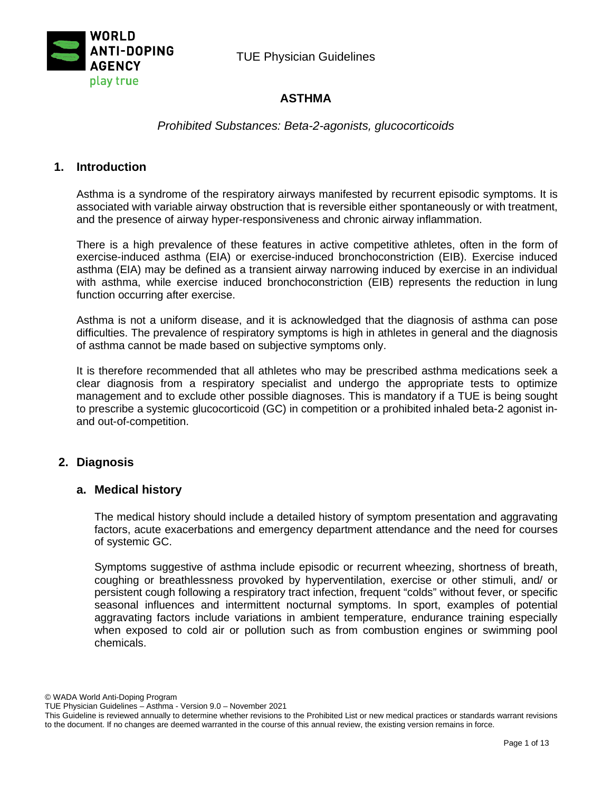



# **ASTHMA**

# *Prohibited Substances: Beta-2-agonists, glucocorticoids*

## **1. Introduction**

Asthma is a syndrome of the respiratory airways manifested by recurrent episodic symptoms. It is associated with variable airway obstruction that is reversible either spontaneously or with treatment, and the presence of airway hyper-responsiveness and chronic airway inflammation.

There is a high prevalence of these features in active competitive athletes, often in the form of exercise-induced asthma (EIA) or exercise-induced bronchoconstriction (EIB). Exercise induced asthma (EIA) may be defined as a transient airway narrowing induced by exercise in an individual with asthma, while exercise induced bronchoconstriction (EIB) represents the reduction in lung function occurring after exercise.

Asthma is not a uniform disease, and it is acknowledged that the diagnosis of asthma can pose difficulties. The prevalence of respiratory symptoms is high in athletes in general and the diagnosis of asthma cannot be made based on subjective symptoms only.

It is therefore recommended that all athletes who may be prescribed asthma medications seek a clear diagnosis from a respiratory specialist and undergo the appropriate tests to optimize management and to exclude other possible diagnoses. This is mandatory if a TUE is being sought to prescribe a systemic glucocorticoid (GC) in competition or a prohibited inhaled beta-2 agonist inand out-of-competition.

## **2. Diagnosis**

## **a. Medical history**

The medical history should include a detailed history of symptom presentation and aggravating factors, acute exacerbations and emergency department attendance and the need for courses of systemic GC.

Symptoms suggestive of asthma include episodic or recurrent wheezing, shortness of breath, coughing or breathlessness provoked by hyperventilation, exercise or other stimuli, and/ or persistent cough following a respiratory tract infection, frequent "colds" without fever, or specific seasonal influences and intermittent nocturnal symptoms. In sport, examples of potential aggravating factors include variations in ambient temperature, endurance training especially when exposed to cold air or pollution such as from combustion engines or swimming pool chemicals.

© WADA World Anti-Doping Program

TUE Physician Guidelines – Asthma - Version 9.0 – November 2021

This Guideline is reviewed annually to determine whether revisions to the Prohibited List or new medical practices or standards warrant revisions to the document. If no changes are deemed warranted in the course of this annual review, the existing version remains in force.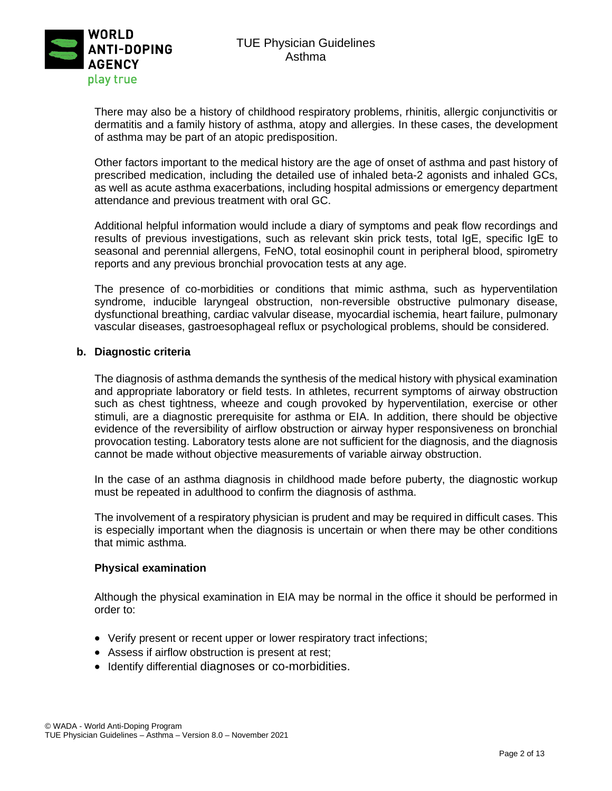

There may also be a history of childhood respiratory problems, rhinitis, allergic conjunctivitis or dermatitis and a family history of asthma, atopy and allergies. In these cases, the development of asthma may be part of an atopic predisposition.

Other factors important to the medical history are the age of onset of asthma and past history of prescribed medication, including the detailed use of inhaled beta-2 agonists and inhaled GCs, as well as acute asthma exacerbations, including hospital admissions or emergency department attendance and previous treatment with oral GC.

Additional helpful information would include a diary of symptoms and peak flow recordings and results of previous investigations, such as relevant skin prick tests, total IgE, specific IgE to seasonal and perennial allergens, FeNO, total eosinophil count in peripheral blood, spirometry reports and any previous bronchial provocation tests at any age.

The presence of co-morbidities or conditions that mimic asthma, such as hyperventilation syndrome, inducible laryngeal obstruction, non-reversible obstructive pulmonary disease, dysfunctional breathing, cardiac valvular disease, myocardial ischemia, heart failure, pulmonary vascular diseases, gastroesophageal reflux or psychological problems, should be considered.

#### **b. Diagnostic criteria**

The diagnosis of asthma demands the synthesis of the medical history with physical examination and appropriate laboratory or field tests. In athletes, recurrent symptoms of airway obstruction such as chest tightness, wheeze and cough provoked by hyperventilation, exercise or other stimuli, are a diagnostic prerequisite for asthma or EIA. In addition, there should be objective evidence of the reversibility of airflow obstruction or airway hyper responsiveness on bronchial provocation testing. Laboratory tests alone are not sufficient for the diagnosis, and the diagnosis cannot be made without objective measurements of variable airway obstruction.

In the case of an asthma diagnosis in childhood made before puberty, the diagnostic workup must be repeated in adulthood to confirm the diagnosis of asthma.

The involvement of a respiratory physician is prudent and may be required in difficult cases. This is especially important when the diagnosis is uncertain or when there may be other conditions that mimic asthma.

#### **Physical examination**

Although the physical examination in EIA may be normal in the office it should be performed in order to:

- Verify present or recent upper or lower respiratory tract infections;
- Assess if airflow obstruction is present at rest;
- Identify differential diagnoses or co-morbidities.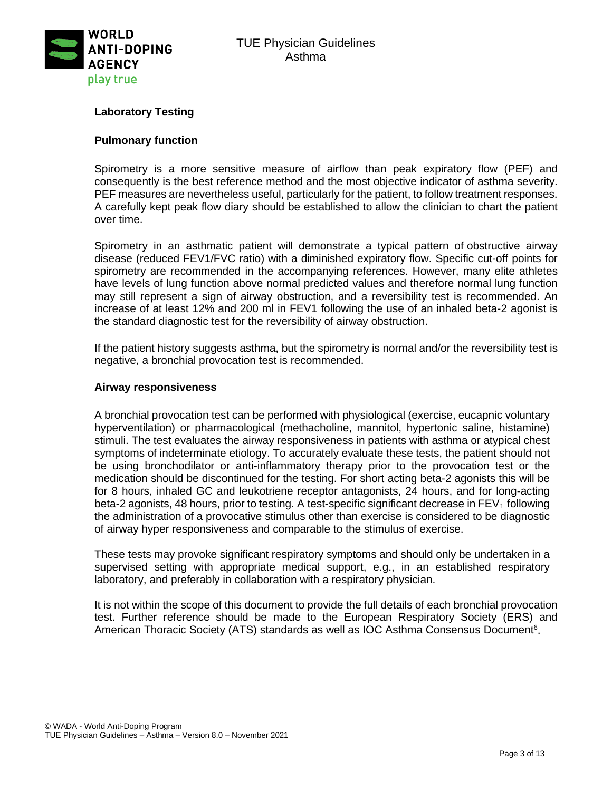

# **Laboratory Testing**

#### **Pulmonary function**

Spirometry is a more sensitive measure of airflow than peak expiratory flow (PEF) and consequently is the best reference method and the most objective indicator of asthma severity. PEF measures are nevertheless useful, particularly for the patient, to follow treatment responses. A carefully kept peak flow diary should be established to allow the clinician to chart the patient over time.

Spirometry in an asthmatic patient will demonstrate a typical pattern of obstructive airway disease (reduced FEV1/FVC ratio) with a diminished expiratory flow. Specific cut-off points for spirometry are recommended in the accompanying references. However, many elite athletes have levels of lung function above normal predicted values and therefore normal lung function may still represent a sign of airway obstruction, and a reversibility test is recommended. An increase of at least 12% and 200 ml in FEV1 following the use of an inhaled beta-2 agonist is the standard diagnostic test for the reversibility of airway obstruction.

If the patient history suggests asthma, but the spirometry is normal and/or the reversibility test is negative, a bronchial provocation test is recommended.

#### **Airway responsiveness**

A bronchial provocation test can be performed with physiological (exercise, eucapnic voluntary hyperventilation) or pharmacological (methacholine, mannitol, hypertonic saline, histamine) stimuli. The test evaluates the airway responsiveness in patients with asthma or atypical chest symptoms of indeterminate etiology. To accurately evaluate these tests, the patient should not be using bronchodilator or anti-inflammatory therapy prior to the provocation test or the medication should be discontinued for the testing. For short acting beta-2 agonists this will be for 8 hours, inhaled GC and leukotriene receptor antagonists, 24 hours, and for long-acting beta-2 agonists, 48 hours, prior to testing. A test-specific significant decrease in  $FEV<sub>1</sub>$  following the administration of a provocative stimulus other than exercise is considered to be diagnostic of airway hyper responsiveness and comparable to the stimulus of exercise.

These tests may provoke significant respiratory symptoms and should only be undertaken in a supervised setting with appropriate medical support, e.g., in an established respiratory laboratory, and preferably in collaboration with a respiratory physician.

It is not within the scope of this document to provide the full details of each bronchial provocation test. Further reference should be made to the European Respiratory Society (ERS) and American Thoracic Society (ATS) standards as well as IOC Asthma Consensus Document<sup>6</sup>.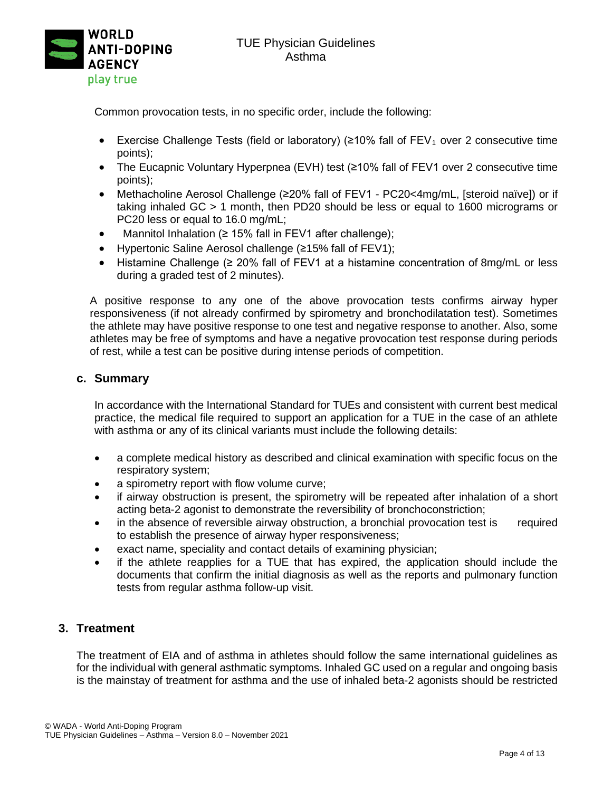

Common provocation tests, in no specific order, include the following:

- Exercise Challenge Tests (field or laboratory) ( $\geq$ 10% fall of FEV<sub>1</sub> over 2 consecutive time points);
- The Eucapnic Voluntary Hyperpnea (EVH) test (≥10% fall of FEV1 over 2 consecutive time points);
- Methacholine Aerosol Challenge (≥20% fall of FEV1 PC20<4mg/mL, [steroid naïve]) or if taking inhaled GC > 1 month, then PD20 should be less or equal to 1600 micrograms or PC20 less or equal to 16.0 mg/mL;
- Mannitol Inhalation (≥ 15% fall in FEV1 after challenge);
- Hypertonic Saline Aerosol challenge (≥15% fall of FEV1);
- Histamine Challenge ( $\geq 20\%$  fall of FEV1 at a histamine concentration of 8mg/mL or less during a graded test of 2 minutes).

A positive response to any one of the above provocation tests confirms airway hyper responsiveness (if not already confirmed by spirometry and bronchodilatation test). Sometimes the athlete may have positive response to one test and negative response to another. Also, some athletes may be free of symptoms and have a negative provocation test response during periods of rest, while a test can be positive during intense periods of competition.

## **c. Summary**

In accordance with the International Standard for TUEs and consistent with current best medical practice, the medical file required to support an application for a TUE in the case of an athlete with asthma or any of its clinical variants must include the following details:

- a complete medical history as described and clinical examination with specific focus on the respiratory system;
- a spirometry report with flow volume curve;
- if airway obstruction is present, the spirometry will be repeated after inhalation of a short acting beta-2 agonist to demonstrate the reversibility of bronchoconstriction;
- in the absence of reversible airway obstruction, a bronchial provocation test is required to establish the presence of airway hyper responsiveness;
- exact name, speciality and contact details of examining physician;
- if the athlete reapplies for a TUE that has expired, the application should include the documents that confirm the initial diagnosis as well as the reports and pulmonary function tests from regular asthma follow-up visit.

## **3. Treatment**

The treatment of EIA and of asthma in athletes should follow the same international guidelines as for the individual with general asthmatic symptoms. Inhaled GC used on a regular and ongoing basis is the mainstay of treatment for asthma and the use of inhaled beta-2 agonists should be restricted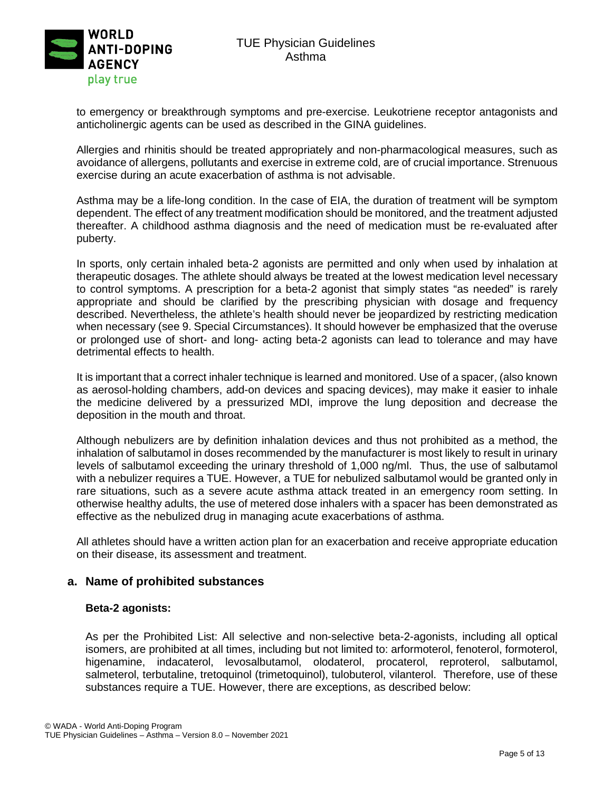

to emergency or breakthrough symptoms and pre-exercise. Leukotriene receptor antagonists and anticholinergic agents can be used as described in the GINA guidelines.

Allergies and rhinitis should be treated appropriately and non-pharmacological measures, such as avoidance of allergens, pollutants and exercise in extreme cold, are of crucial importance. Strenuous exercise during an acute exacerbation of asthma is not advisable.

Asthma may be a life-long condition. In the case of EIA, the duration of treatment will be symptom dependent. The effect of any treatment modification should be monitored, and the treatment adjusted thereafter. A childhood asthma diagnosis and the need of medication must be re-evaluated after puberty.

In sports, only certain inhaled beta-2 agonists are permitted and only when used by inhalation at therapeutic dosages. The athlete should always be treated at the lowest medication level necessary to control symptoms. A prescription for a beta-2 agonist that simply states "as needed" is rarely appropriate and should be clarified by the prescribing physician with dosage and frequency described. Nevertheless, the athlete's health should never be jeopardized by restricting medication when necessary (see 9. Special Circumstances). It should however be emphasized that the overuse or prolonged use of short- and long- acting beta-2 agonists can lead to tolerance and may have detrimental effects to health.

It is important that a correct inhaler technique is learned and monitored. Use of a spacer, (also known as aerosol-holding chambers, add-on devices and spacing devices), may make it easier to inhale the medicine delivered by a pressurized MDI, improve the lung deposition and decrease the deposition in the mouth and throat.

Although nebulizers are by definition inhalation devices and thus not prohibited as a method, the inhalation of salbutamol in doses recommended by the manufacturer is most likely to result in urinary levels of salbutamol exceeding the urinary threshold of 1,000 ng/ml. Thus, the use of salbutamol with a nebulizer requires a TUE. However, a TUE for nebulized salbutamol would be granted only in rare situations, such as a severe acute asthma attack treated in an emergency room setting. In otherwise healthy adults, the use of metered dose inhalers with a spacer has been demonstrated as effective as the nebulized drug in managing acute exacerbations of asthma.

All athletes should have a written action plan for an exacerbation and receive appropriate education on their disease, its assessment and treatment.

## **a. Name of prohibited substances**

## **Beta-2 agonists:**

As per the Prohibited List: All selective and non-selective beta-2-agonists, including all optical isomers, are prohibited at all times, including but not limited to: arformoterol, fenoterol, formoterol, higenamine, indacaterol, levosalbutamol, olodaterol, procaterol, reproterol, salbutamol, salmeterol, terbutaline, tretoquinol (trimetoquinol), tulobuterol, vilanterol. Therefore, use of these substances require a TUE. However, there are exceptions, as described below: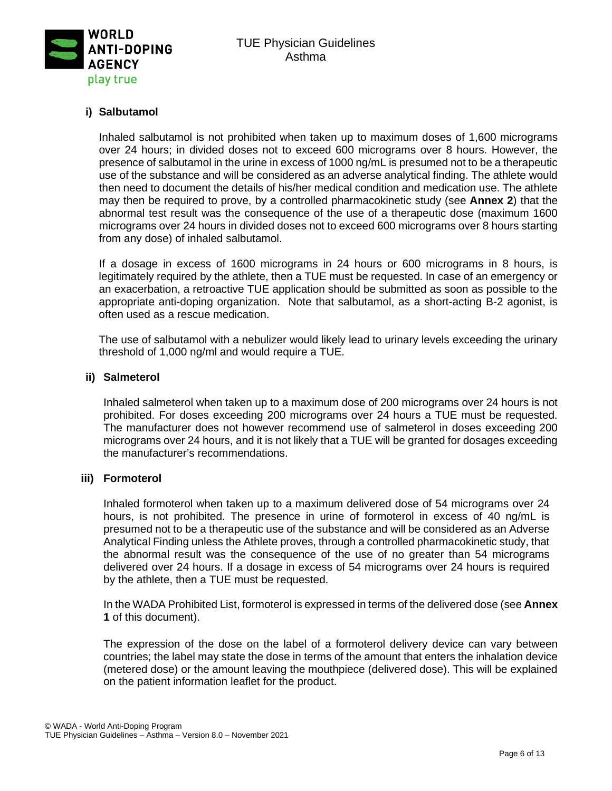

# **i) Salbutamol**

Inhaled salbutamol is not prohibited when taken up to maximum doses of 1,600 micrograms over 24 hours; in divided doses not to exceed 600 micrograms over 8 hours. However, the presence of salbutamol in the urine in excess of 1000 ng/mL is presumed not to be a therapeutic use of the substance and will be considered as an adverse analytical finding. The athlete would then need to document the details of his/her medical condition and medication use. The athlete may then be required to prove, by a controlled pharmacokinetic study (see **Annex 2**) that the abnormal test result was the consequence of the use of a therapeutic dose (maximum 1600 micrograms over 24 hours in divided doses not to exceed 600 micrograms over 8 hours starting from any dose) of inhaled salbutamol.

If a dosage in excess of 1600 micrograms in 24 hours or 600 micrograms in 8 hours, is legitimately required by the athlete, then a TUE must be requested. In case of an emergency or an exacerbation, a retroactive TUE application should be submitted as soon as possible to the appropriate anti-doping organization. Note that salbutamol, as a short-acting B-2 agonist, is often used as a rescue medication.

The use of salbutamol with a nebulizer would likely lead to urinary levels exceeding the urinary threshold of 1,000 ng/ml and would require a TUE.

#### **ii) Salmeterol**

Inhaled salmeterol when taken up to a maximum dose of 200 micrograms over 24 hours is not prohibited. For doses exceeding 200 micrograms over 24 hours a TUE must be requested. The manufacturer does not however recommend use of salmeterol in doses exceeding 200 micrograms over 24 hours, and it is not likely that a TUE will be granted for dosages exceeding the manufacturer's recommendations.

#### **iii) Formoterol**

Inhaled formoterol when taken up to a maximum delivered dose of 54 micrograms over 24 hours, is not prohibited. The presence in urine of formoterol in excess of 40 ng/mL is presumed not to be a therapeutic use of the substance and will be considered as an Adverse Analytical Finding unless the Athlete proves, through a controlled pharmacokinetic study, that the abnormal result was the consequence of the use of no greater than 54 micrograms delivered over 24 hours. If a dosage in excess of 54 micrograms over 24 hours is required by the athlete, then a TUE must be requested.

In the WADA Prohibited List, formoterol is expressed in terms of the delivered dose (see **Annex 1** of this document).

The expression of the dose on the label of a formoterol delivery device can vary between countries; the label may state the dose in terms of the amount that enters the inhalation device (metered dose) or the amount leaving the mouthpiece (delivered dose). This will be explained on the patient information leaflet for the product.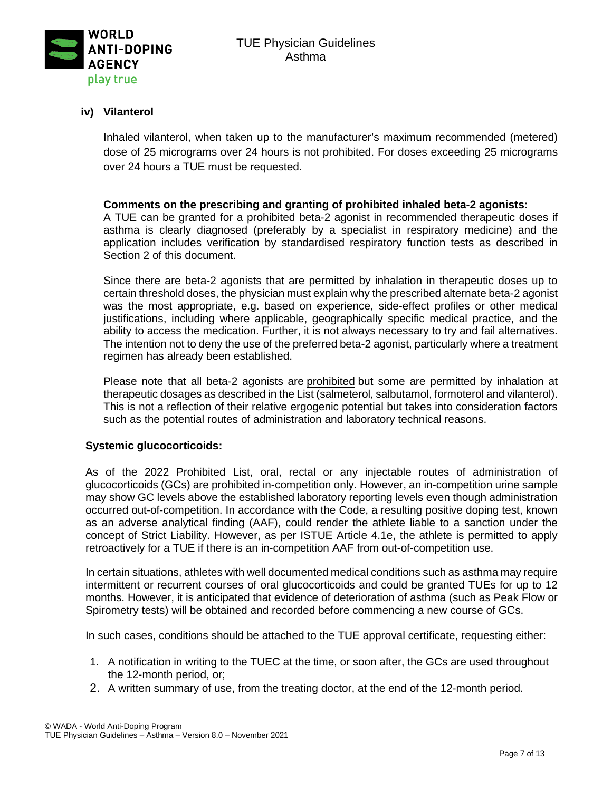

# **iv) Vilanterol**

Inhaled vilanterol, when taken up to the manufacturer's maximum recommended (metered) dose of 25 micrograms over 24 hours is not prohibited. For doses exceeding 25 micrograms over 24 hours a TUE must be requested.

## **Comments on the prescribing and granting of prohibited inhaled beta-2 agonists:**

A TUE can be granted for a prohibited beta-2 agonist in recommended therapeutic doses if asthma is clearly diagnosed (preferably by a specialist in respiratory medicine) and the application includes verification by standardised respiratory function tests as described in Section 2 of this document.

Since there are beta-2 agonists that are permitted by inhalation in therapeutic doses up to certain threshold doses, the physician must explain why the prescribed alternate beta-2 agonist was the most appropriate, e.g. based on experience, side-effect profiles or other medical justifications, including where applicable, geographically specific medical practice, and the ability to access the medication. Further, it is not always necessary to try and fail alternatives. The intention not to deny the use of the preferred beta-2 agonist, particularly where a treatment regimen has already been established.

Please note that all beta-2 agonists are prohibited but some are permitted by inhalation at therapeutic dosages as described in the List (salmeterol, salbutamol, formoterol and vilanterol). This is not a reflection of their relative ergogenic potential but takes into consideration factors such as the potential routes of administration and laboratory technical reasons.

## **Systemic glucocorticoids:**

As of the 2022 Prohibited List, oral, rectal or any injectable routes of administration of glucocorticoids (GCs) are prohibited in-competition only. However, an in-competition urine sample may show GC levels above the established laboratory reporting levels even though administration occurred out-of-competition. In accordance with the Code, a resulting positive doping test, known as an adverse analytical finding (AAF), could render the athlete liable to a sanction under the concept of Strict Liability. However, as per ISTUE Article 4.1e, the athlete is permitted to apply retroactively for a TUE if there is an in-competition AAF from out-of-competition use.

In certain situations, athletes with well documented medical conditions such as asthma may require intermittent or recurrent courses of oral glucocorticoids and could be granted TUEs for up to 12 months. However, it is anticipated that evidence of deterioration of asthma (such as Peak Flow or Spirometry tests) will be obtained and recorded before commencing a new course of GCs.

In such cases, conditions should be attached to the TUE approval certificate, requesting either:

- 1. A notification in writing to the TUEC at the time, or soon after, the GCs are used throughout the 12-month period, or;
- 2. A written summary of use, from the treating doctor, at the end of the 12-month period.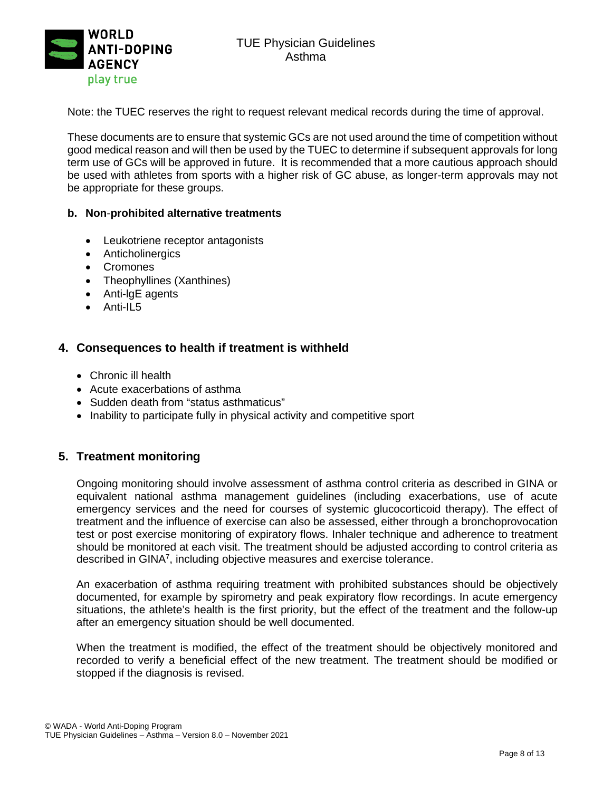

Note: the TUEC reserves the right to request relevant medical records during the time of approval.

These documents are to ensure that systemic GCs are not used around the time of competition without good medical reason and will then be used by the TUEC to determine if subsequent approvals for long term use of GCs will be approved in future. It is recommended that a more cautious approach should be used with athletes from sports with a higher risk of GC abuse, as longer-term approvals may not be appropriate for these groups.

#### **b. Non**-**prohibited alternative treatments**

- Leukotriene receptor antagonists
- Anticholinergics
- Cromones
- Theophyllines (Xanthines)
- Anti-lgE agents
- Anti-IL5

#### **4. Consequences to health if treatment is withheld**

- Chronic ill health
- Acute exacerbations of asthma
- Sudden death from "status asthmaticus"
- Inability to participate fully in physical activity and competitive sport

#### **5. Treatment monitoring**

Ongoing monitoring should involve assessment of asthma control criteria as described in GINA or equivalent national asthma management guidelines (including exacerbations, use of acute emergency services and the need for courses of systemic glucocorticoid therapy). The effect of treatment and the influence of exercise can also be assessed, either through a bronchoprovocation test or post exercise monitoring of expiratory flows. Inhaler technique and adherence to treatment should be monitored at each visit. The treatment should be adjusted according to control criteria as described in GINA $^7$ , including objective measures and exercise tolerance.

An exacerbation of asthma requiring treatment with prohibited substances should be objectively documented, for example by spirometry and peak expiratory flow recordings. In acute emergency situations, the athlete's health is the first priority, but the effect of the treatment and the follow-up after an emergency situation should be well documented.

When the treatment is modified, the effect of the treatment should be objectively monitored and recorded to verify a beneficial effect of the new treatment. The treatment should be modified or stopped if the diagnosis is revised.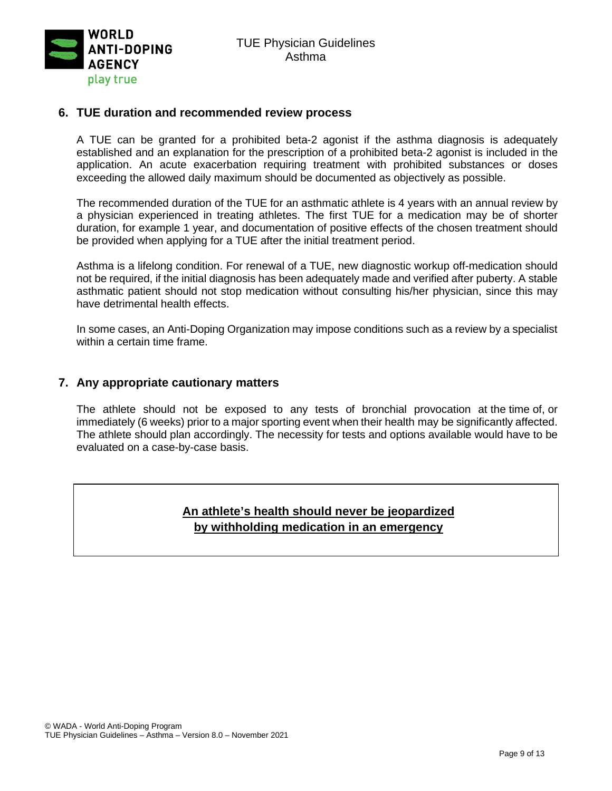

#### **6. TUE duration and recommended review process**

A TUE can be granted for a prohibited beta-2 agonist if the asthma diagnosis is adequately established and an explanation for the prescription of a prohibited beta-2 agonist is included in the application. An acute exacerbation requiring treatment with prohibited substances or doses exceeding the allowed daily maximum should be documented as objectively as possible.

The recommended duration of the TUE for an asthmatic athlete is 4 years with an annual review by a physician experienced in treating athletes. The first TUE for a medication may be of shorter duration, for example 1 year, and documentation of positive effects of the chosen treatment should be provided when applying for a TUE after the initial treatment period.

Asthma is a lifelong condition. For renewal of a TUE, new diagnostic workup off-medication should not be required, if the initial diagnosis has been adequately made and verified after puberty. A stable asthmatic patient should not stop medication without consulting his/her physician, since this may have detrimental health effects.

In some cases, an Anti-Doping Organization may impose conditions such as a review by a specialist within a certain time frame.

# **7. Any appropriate cautionary matters**

The athlete should not be exposed to any tests of bronchial provocation at the time of, or immediately (6 weeks) prior to a major sporting event when their health may be significantly affected. The athlete should plan accordingly. The necessity for tests and options available would have to be evaluated on a case-by-case basis.

# **An athlete's health should never be jeopardized by withholding medication in an emergency**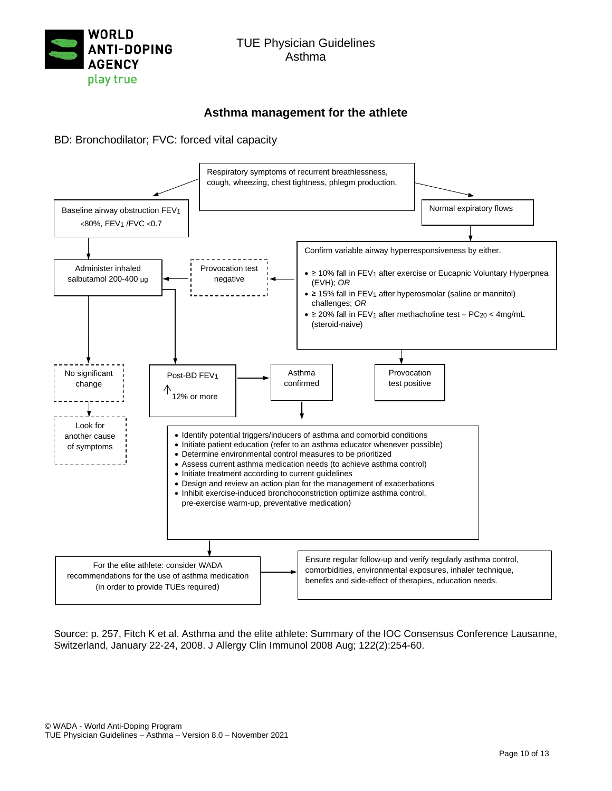

# **Asthma management for the athlete**

BD: Bronchodilator; FVC: forced vital capacity



Source: p. 257, Fitch K et al. Asthma and the elite athlete: Summary of the IOC Consensus Conference Lausanne, Switzerland, January 22-24, 2008. J Allergy Clin Immunol 2008 Aug; 122(2):254-60.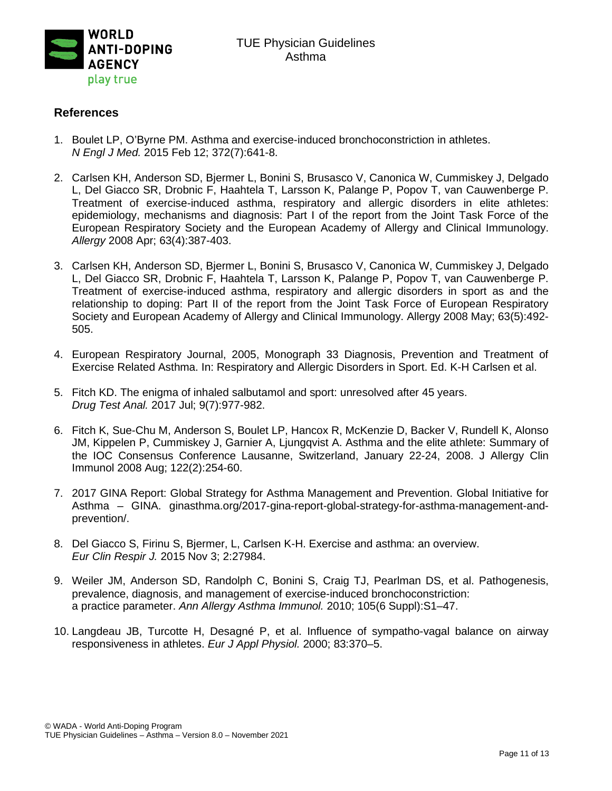

# **References**

- 1. Boulet LP, O'Byrne PM. Asthma and exercise-induced bronchoconstriction in athletes. *N Engl J Med.* 2015 Feb 12; 372(7):641-8.
- 2. Carlsen KH, Anderson SD, Bjermer L, Bonini S, Brusasco V, Canonica W, Cummiskey J, Delgado L, Del Giacco SR, Drobnic F, Haahtela T, Larsson K, Palange P, Popov T, van Cauwenberge P. Treatment of exercise-induced asthma, respiratory and allergic disorders in elite athletes: epidemiology, mechanisms and diagnosis: Part I of the report from the Joint Task Force of the European Respiratory Society and the European Academy of Allergy and Clinical Immunology. *Allergy* 2008 Apr; 63(4):387-403.
- 3. Carlsen KH, Anderson SD, Bjermer L, Bonini S, Brusasco V, Canonica W, Cummiskey J, Delgado L, Del Giacco SR, Drobnic F, Haahtela T, Larsson K, Palange P, Popov T, van Cauwenberge P. Treatment of exercise-induced asthma, respiratory and allergic disorders in sport as and the relationship to doping: Part II of the report from the Joint Task Force of European Respiratory Society and European Academy of Allergy and Clinical Immunology. Allergy 2008 May; 63(5):492- 505.
- 4. European Respiratory Journal, 2005, Monograph 33 Diagnosis, Prevention and Treatment of Exercise Related Asthma. In: Respiratory and Allergic Disorders in Sport. Ed. K-H Carlsen et al.
- 5. Fitch KD. The enigma of inhaled salbutamol and sport: unresolved after 45 years. *Drug Test Anal.* 2017 Jul; 9(7):977-982.
- 6. Fitch K, Sue-Chu M, Anderson S, Boulet LP, Hancox R, McKenzie D, Backer V, Rundell K, Alonso JM, Kippelen P, Cummiskey J, Garnier A, Ljungqvist A. Asthma and the elite athlete: Summary of the IOC Consensus Conference Lausanne, Switzerland, January 22-24, 2008. J Allergy Clin Immunol 2008 Aug; 122(2):254-60.
- 7. 2017 GINA Report: Global Strategy for Asthma Management and Prevention. Global Initiative for Asthma – GINA. ginasthma.org/2017-gina-report-global-strategy-for-asthma-management-andprevention/.
- 8. Del Giacco S, Firinu S, Bjermer, L, Carlsen K-H. Exercise and asthma: an overview. *Eur Clin Respir J.* 2015 Nov 3; 2:27984.
- 9. Weiler JM, Anderson SD, Randolph C, Bonini S, Craig TJ, Pearlman DS, et al. Pathogenesis, prevalence, diagnosis, and management of exercise-induced bronchoconstriction: a practice parameter. *Ann Allergy Asthma Immunol.* 2010; 105(6 Suppl):S1–47.
- 10. Langdeau JB, Turcotte H, Desagné P, et al. Influence of sympatho-vagal balance on airway responsiveness in athletes. *Eur J Appl Physiol.* 2000; 83:370–5.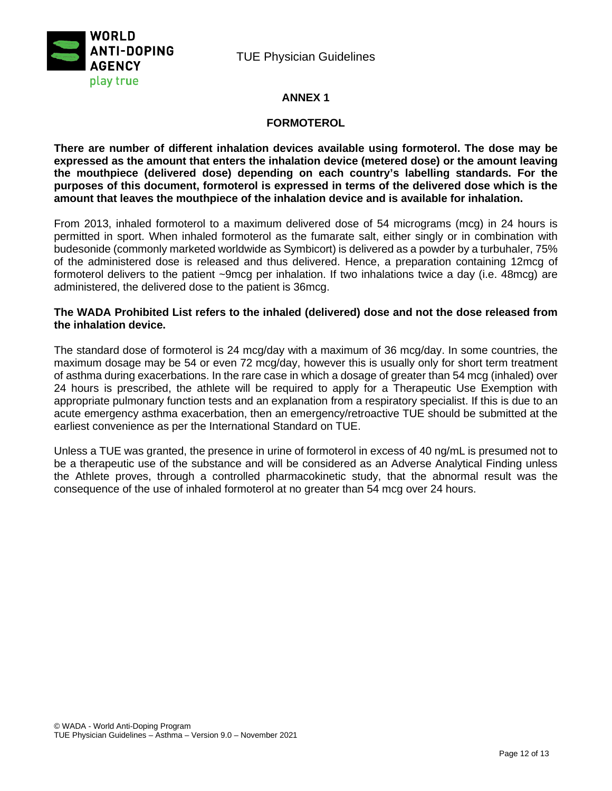



## **ANNEX 1**

#### **FORMOTEROL**

**There are number of different inhalation devices available using formoterol. The dose may be expressed as the amount that enters the inhalation device (metered dose) or the amount leaving the mouthpiece (delivered dose) depending on each country's labelling standards. For the purposes of this document, formoterol is expressed in terms of the delivered dose which is the amount that leaves the mouthpiece of the inhalation device and is available for inhalation.**

From 2013, inhaled formoterol to a maximum delivered dose of 54 micrograms (mcg) in 24 hours is permitted in sport. When inhaled formoterol as the fumarate salt, either singly or in combination with budesonide (commonly marketed worldwide as Symbicort) is delivered as a powder by a turbuhaler, 75% of the administered dose is released and thus delivered. Hence, a preparation containing 12mcg of formoterol delivers to the patient ~9mcg per inhalation. If two inhalations twice a day (i.e. 48mcg) are administered, the delivered dose to the patient is 36mcg.

#### **The WADA Prohibited List refers to the inhaled (delivered) dose and not the dose released from the inhalation device.**

The standard dose of formoterol is 24 mcg/day with a maximum of 36 mcg/day. In some countries, the maximum dosage may be 54 or even 72 mcg/day, however this is usually only for short term treatment of asthma during exacerbations. In the rare case in which a dosage of greater than 54 mcg (inhaled) over 24 hours is prescribed, the athlete will be required to apply for a Therapeutic Use Exemption with appropriate pulmonary function tests and an explanation from a respiratory specialist. If this is due to an acute emergency asthma exacerbation, then an emergency/retroactive TUE should be submitted at the earliest convenience as per the International Standard on TUE.

Unless a TUE was granted, the presence in urine of formoterol in excess of 40 ng/mL is presumed not to be a therapeutic use of the substance and will be considered as an Adverse Analytical Finding unless the Athlete proves, through a controlled pharmacokinetic study, that the abnormal result was the consequence of the use of inhaled formoterol at no greater than 54 mcg over 24 hours.